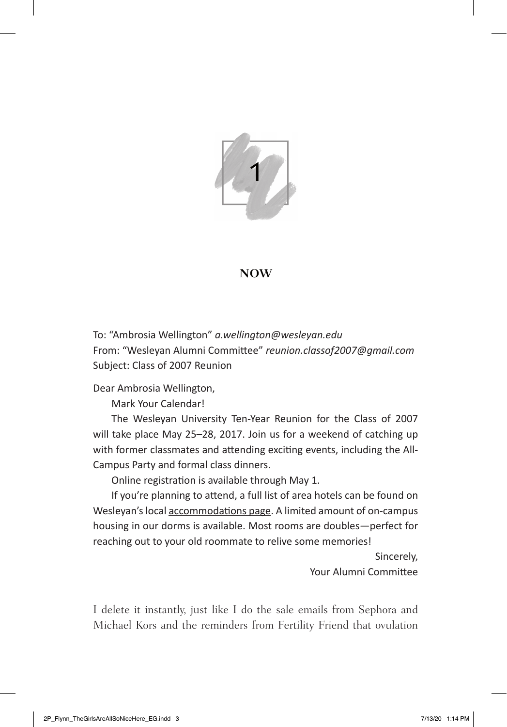

# N<sub>OW</sub>

To: "A mbrosia Wellington" *a.wellington@wesleyan.edu* From: "Wesleyan Alumni Committ ee" *reunion.classof2007@gmail.com* Subject: Class of 2007 Reunion

Dear Ambrosia Wellington,

Mark Your Calendar!

The Wesleyan University Ten-Year Reunion for the Class of 2007 will take place May 25–28, 2017. Join us for a weekend of catching up with former classmates and attending exciting events, including the All-Campus Party and formal class dinners.

Online registration is available through May 1.

If you're planning to attend, a full list of area hotels can be found on Wesleyan's local accommodations page. A limited amount of on-campus housing in our dorms is available. Most rooms are doubles—perfect for reaching out to your old roommate to relive some memories!

> Sincerely, Your Alumni Committee

I delete it instantly, just like I do the sale emails from Sephora and Michael Kors and the reminders from Fertility Friend that ovulation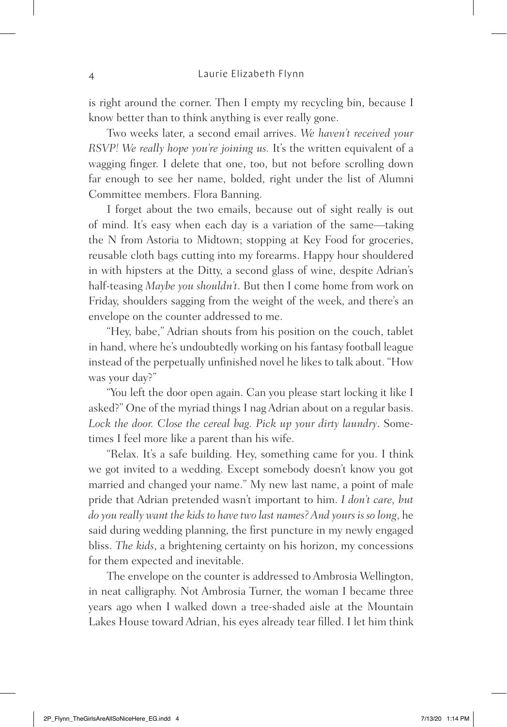is right around the corner. Then I empty my recycling bin, because I know better than to think anything is ever really gone.

Two weeks later, a second email arrives. *We haven't received your RSVP! We really hope you're joining us.* It's the written equivalent of a wagging finger. I delete that one, too, but not before scrolling down far enough to see her name, bolded, right under the list of Alumni Committee members. Flora Banning.

I forget about the two emails, because out of sight really is out of mind. It's easy when each day is a variation of the same—taking the N from Astoria to Midtown; stopping at Key Food for groceries, reusable cloth bags cutting into my forearms. Happy hour shouldered in with hipsters at the Ditty, a second glass of wine, despite Adrian's half-teasing *Maybe you shouldn't*. But then I come home from work on Friday, shoulders sagging from the weight of the week, and there's an envelope on the counter addressed to me.

"Hey, babe," Adrian shouts from his position on the couch, tablet in hand, where he's undoubtedly working on his fantasy football league instead of the perpetually unfinished novel he likes to talk about. "How was your day?"

"You left the door open again. Can you please start locking it like I asked?" One of the myriad things I nag Adrian about on a regular basis. *Lock the door. Close the cereal bag. Pick up your dirty laundry*. Sometimes I feel more like a parent than his wife.

"Relax. It's a safe building. Hey, something came for you. I think we got invited to a wedding. Except somebody doesn't know you got married and changed your name." My new last name, a point of male pride that Adrian pretended wasn't important to him. *I don't care, but do you really want the kids to have two last names? And yours is so long*, he said during wedding planning, the first puncture in my newly engaged bliss. *The kids*, a brightening certainty on his horizon, my concessions for them expected and inevitable.

The envelope on the counter is addressed to Ambrosia Wellington, in neat calligraphy. Not Ambrosia Turner, the woman I became three years ago when I walked down a tree-shaded aisle at the Mountain Lakes House toward Adrian, his eyes already tear filled. I let him think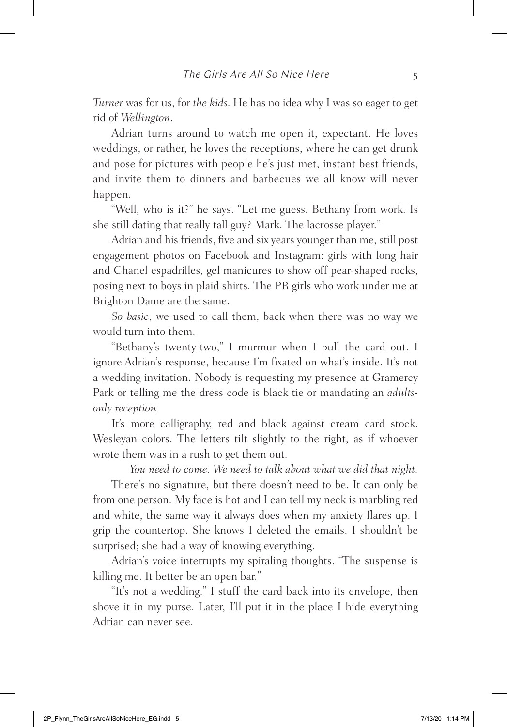*Turner* was for us, for *the kids*. He has no idea why I was so eager to get rid of *Wellington*.

Adrian turns around to watch me open it, expectant. He loves weddings, or rather, he loves the receptions, where he can get drunk and pose for pictures with people he's just met, instant best friends, and invite them to dinners and barbecues we all know will never happen.

"Well, who is it?" he says. "Let me guess. Bethany from work. Is she still dating that really tall guy? Mark. The lacrosse player."

Adrian and his friends, five and six years younger than me, still post engagement photos on Facebook and Instagram: girls with long hair and Chanel espadrilles, gel manicures to show off pear-shaped rocks, posing next to boys in plaid shirts. The PR girls who work under me at Brighton Dame are the same.

*So basic*, we used to call them, back when there was no way we would turn into them.

"Bethany's twenty-two," I murmur when I pull the card out. I ignore Adrian's response, because I'm fixated on what's inside. It's not a wedding invitation. Nobody is requesting my presence at Gramercy Park or telling me the dress code is black tie or mandating an *adultsonly reception.* 

It's more calligraphy, red and black against cream card stock. Wesleyan colors. The letters tilt slightly to the right, as if whoever wrote them was in a rush to get them out.

*You need to come. We need to talk about what we did that night.*

There's no signature, but there doesn't need to be. It can only be from one person. My face is hot and I can tell my neck is marbling red and white, the same way it always does when my anxiety flares up. I grip the countertop. She knows I deleted the emails. I shouldn't be surprised; she had a way of knowing everything.

Adrian's voice interrupts my spiraling thoughts. "The suspense is killing me. It better be an open bar."

"It's not a wedding." I stuff the card back into its envelope, then shove it in my purse. Later, I'll put it in the place I hide everything Adrian can never see.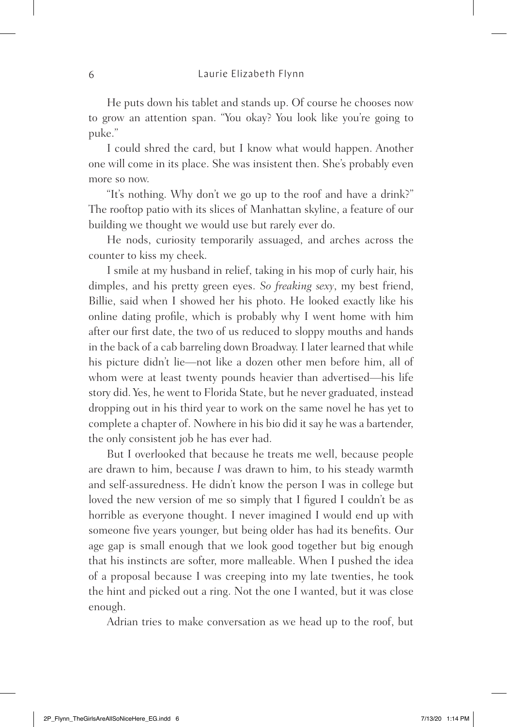He puts down his tablet and stands up. Of course he chooses now to grow an attention span. "You okay? You look like you're going to puke."

I could shred the card, but I know what would happen. Another one will come in its place. She was insistent then. She's probably even more so now.

"It's nothing. Why don't we go up to the roof and have a drink?" The rooftop patio with its slices of Manhattan skyline, a feature of our building we thought we would use but rarely ever do.

He nods, curiosity temporarily assuaged, and arches across the counter to kiss my cheek.

I smile at my husband in relief, taking in his mop of curly hair, his dimples, and his pretty green eyes. *So freaking sexy*, my best friend, Billie, said when I showed her his photo. He looked exactly like his online dating profile, which is probably why I went home with him after our first date, the two of us reduced to sloppy mouths and hands in the back of a cab barreling down Broadway. I later learned that while his picture didn't lie—not like a dozen other men before him, all of whom were at least twenty pounds heavier than advertised—his life story did. Yes, he went to Florida State, but he never graduated, instead dropping out in his third year to work on the same novel he has yet to complete a chapter of. Nowhere in his bio did it say he was a bartender, the only consistent job he has ever had.

But I overlooked that because he treats me well, because people are drawn to him, because *I* was drawn to him, to his steady warmth and self-assuredness. He didn't know the person I was in college but loved the new version of me so simply that I figured I couldn't be as horrible as everyone thought. I never imagined I would end up with someone five years younger, but being older has had its benefits. Our age gap is small enough that we look good together but big enough that his instincts are softer, more malleable. When I pushed the idea of a proposal because I was creeping into my late twenties, he took the hint and picked out a ring. Not the one I wanted, but it was close enough.

Adrian tries to make conversation as we head up to the roof, but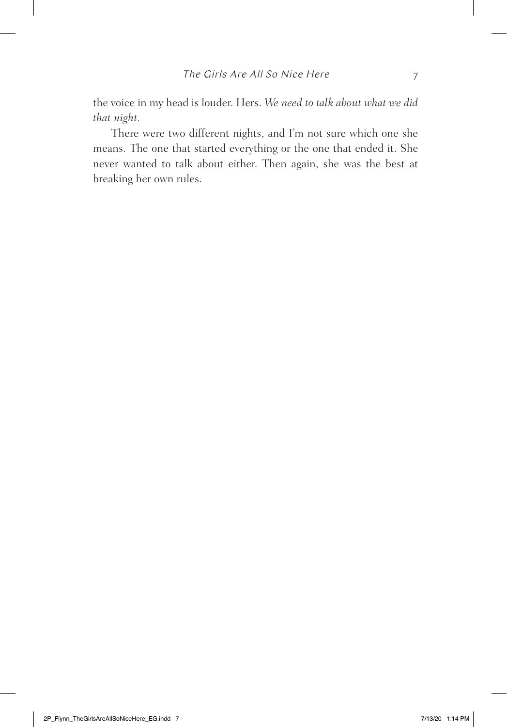the voice in my head is louder. Hers. *We need to talk about what we did that night.*

There were two different nights, and I'm not sure which one she means. The one that started everything or the one that ended it. She never wanted to talk about either. Then again, she was the best at breaking her own rules.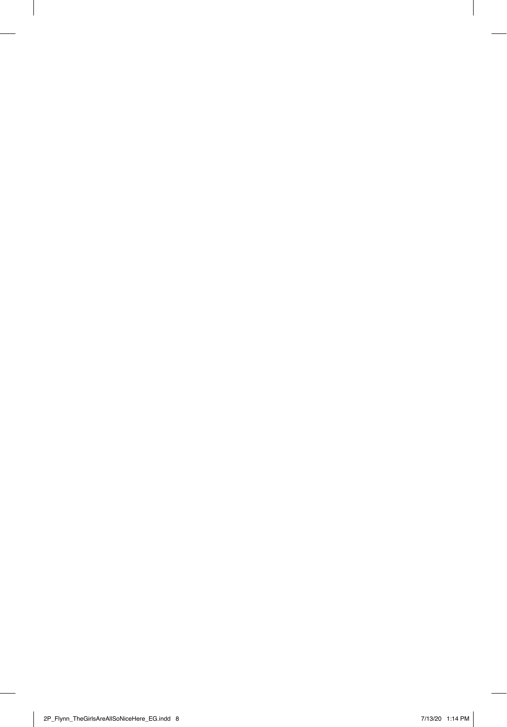$\overline{\phantom{a}}$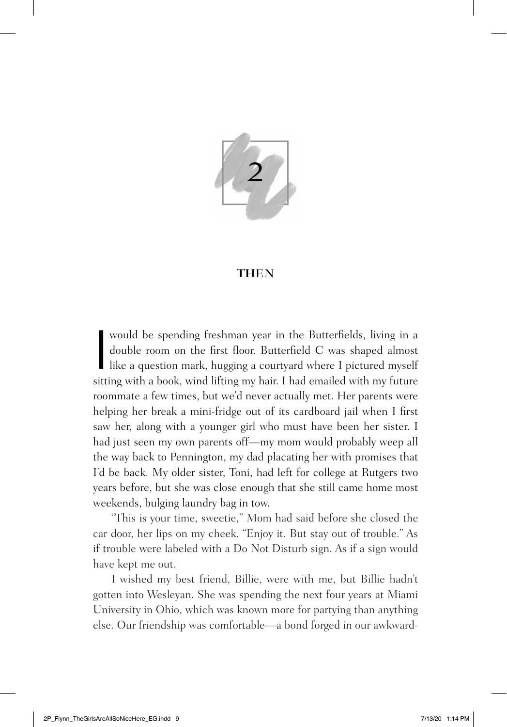

#### **THEN**

would be spending freshman year in the Butterfields, living in a double room on the first floor. Butterfield C was shaped almost like a question mark, hugging a courtyard where I pictured myself sitting with a book wind li double room on the first floor. Butterfield C was shaped almost like a question mark, hugging a courtyard where I pictured myself sitting with a book, wind lifting my hair. I had emailed with my future roommate a few times, but we'd never actually met. Her parents were helping her break a mini-fridge out of its cardboard jail when I first saw her, along with a younger girl who must have been her sister. I had just seen my own parents off—my mom would probably weep all the way back to Pennington, my dad placating her with promises that I'd be back. My older sister, Toni, had left for college at Rutgers two years before, but she was close enough that she still came home most weekends, bulging laundry bag in tow.

"This is your time, sweetie," Mom had said before she closed the car door, her lips on my cheek. "Enjoy it. But stay out of trouble." As if trouble were labeled with a Do Not Disturb sign. As if a sign would have kept me out.

I wished my best friend, Billie, were with me, but Billie hadn't gotten into Wesleyan. She was spending the next four years at Miami University in Ohio, which was known more for partying than anything else. Our friendship was comfortable—a bond forged in our awkward-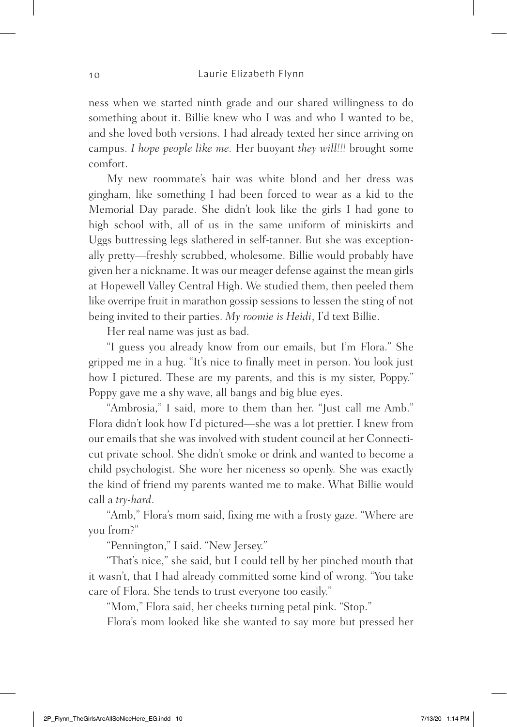ness when we started ninth grade and our shared willingness to do something about it. Billie knew who I was and who I wanted to be, and she loved both versions. I had already texted her since arriving on campus. *I hope people like me.* Her buoyant *they will!!!* brought some comfort.

My new roommate's hair was white blond and her dress was gingham, like something I had been forced to wear as a kid to the Memorial Day parade. She didn't look like the girls I had gone to high school with, all of us in the same uniform of miniskirts and Uggs buttressing legs slathered in self-tanner. But she was exceptionally pretty—freshly scrubbed, wholesome. Billie would probably have given her a nickname. It was our meager defense against the mean girls at Hopewell Valley Central High. We studied them, then peeled them like overripe fruit in marathon gossip sessions to lessen the sting of not being invited to their parties. *My roomie is Heidi*, I'd text Billie.

Her real name was just as bad.

"I guess you already know from our emails, but I'm Flora." She gripped me in a hug. "It's nice to finally meet in person. You look just how I pictured. These are my parents, and this is my sister, Poppy." Poppy gave me a shy wave, all bangs and big blue eyes.

"Ambrosia," I said, more to them than her. "Just call me Amb." Flora didn't look how I'd pictured—she was a lot prettier. I knew from our emails that she was involved with student council at her Connecticut private school. She didn't smoke or drink and wanted to become a child psychologist. She wore her niceness so openly. She was exactly the kind of friend my parents wanted me to make. What Billie would call a *try-hard*.

"Amb," Flora's mom said, fixing me with a frosty gaze. "Where are you from?"

"Pennington," I said. "New Jersey."

"That's nice," she said, but I could tell by her pinched mouth that it wasn't, that I had already committed some kind of wrong. "You take care of Flora. She tends to trust everyone too easily."

"Mom," Flora said, her cheeks turning petal pink. "Stop."

Flora's mom looked like she wanted to say more but pressed her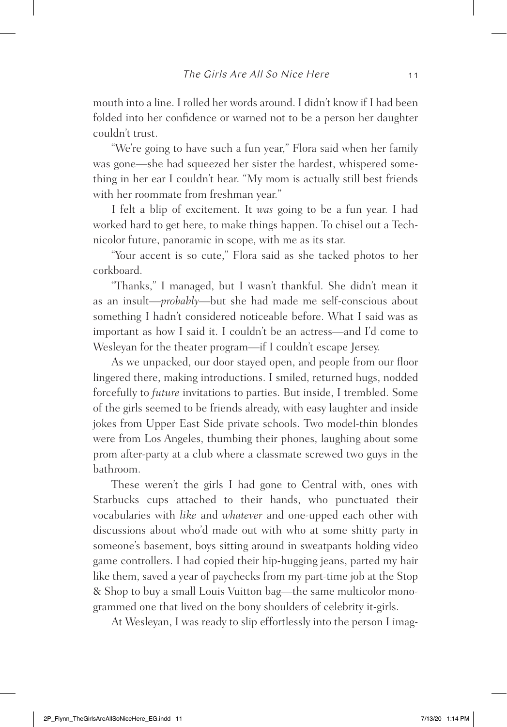mouth into a line. I rolled her words around. I didn't know if I had been folded into her confidence or warned not to be a person her daughter couldn't trust.

"We're going to have such a fun year," Flora said when her family was gone—she had squeezed her sister the hardest, whispered something in her ear I couldn't hear. "My mom is actually still best friends with her roommate from freshman year."

I felt a blip of excitement. It *was* going to be a fun year. I had worked hard to get here, to make things happen. To chisel out a Technicolor future, panoramic in scope, with me as its star.

"Your accent is so cute," Flora said as she tacked photos to her corkboard.

"Thanks," I managed, but I wasn't thankful. She didn't mean it as an insult—*probably*—but she had made me self-conscious about something I hadn't considered noticeable before. What I said was as important as how I said it. I couldn't be an actress—and I'd come to Wesleyan for the theater program—if I couldn't escape Jersey.

As we unpacked, our door stayed open, and people from our floor lingered there, making introductions. I smiled, returned hugs, nodded forcefully to *future* invitations to parties. But inside, I trembled. Some of the girls seemed to be friends already, with easy laughter and inside jokes from Upper East Side private schools. Two model-thin blondes were from Los Angeles, thumbing their phones, laughing about some prom after-party at a club where a classmate screwed two guys in the bathroom.

These weren't the girls I had gone to Central with, ones with Starbucks cups attached to their hands, who punctuated their vocabularies with *like* and *whatever* and one-upped each other with discussions about who'd made out with who at some shitty party in someone's basement, boys sitting around in sweatpants holding video game controllers. I had copied their hip-hugging jeans, parted my hair like them, saved a year of paychecks from my part-time job at the Stop & Shop to buy a small Louis Vuitton bag—the same multicolor monogrammed one that lived on the bony shoulders of celebrity it-girls.

At Wesleyan, I was ready to slip effortlessly into the person I imag-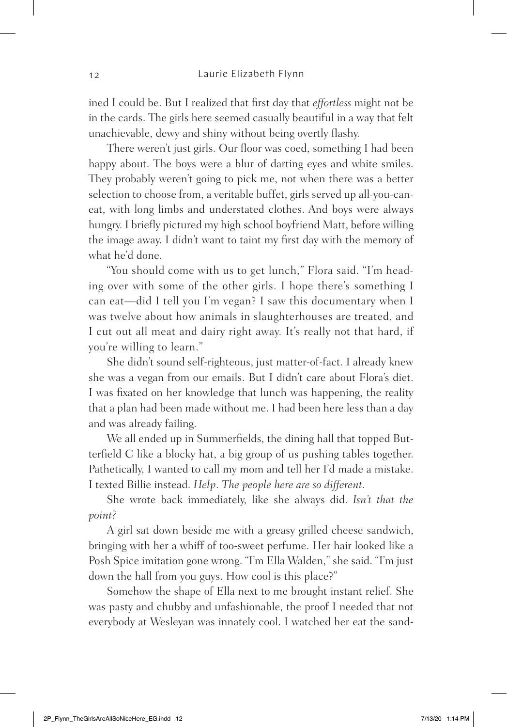ined I could be. But I realized that first day that *effortless* might not be in the cards. The girls here seemed casually beautiful in a way that felt unachievable, dewy and shiny without being overtly flashy.

There weren't just girls. Our floor was coed, something I had been happy about. The boys were a blur of darting eyes and white smiles. They probably weren't going to pick me, not when there was a better selection to choose from, a veritable buffet, girls served up all-you-caneat, with long limbs and understated clothes. And boys were always hungry. I briefly pictured my high school boyfriend Matt, before willing the image away. I didn't want to taint my first day with the memory of what he'd done.

"You should come with us to get lunch," Flora said. "I'm heading over with some of the other girls. I hope there's something I can eat—did I tell you I'm vegan? I saw this documentary when I was twelve about how animals in slaughterhouses are treated, and I cut out all meat and dairy right away. It's really not that hard, if you're willing to learn."

She didn't sound self-righteous, just matter-of-fact. I already knew she was a vegan from our emails. But I didn't care about Flora's diet. I was fixated on her knowledge that lunch was happening, the reality that a plan had been made without me. I had been here less than a day and was already failing.

We all ended up in Summerfields, the dining hall that topped Butterfield C like a blocky hat, a big group of us pushing tables together. Pathetically, I wanted to call my mom and tell her I'd made a mistake. I texted Billie instead. *Help*. *The people here are so different.* 

She wrote back immediately, like she always did. *Isn't that the point?* 

A girl sat down beside me with a greasy grilled cheese sandwich, bringing with her a whiff of too-sweet perfume. Her hair looked like a Posh Spice imitation gone wrong. "I'm Ella Walden," she said. "I'm just down the hall from you guys. How cool is this place?"

Somehow the shape of Ella next to me brought instant relief. She was pasty and chubby and unfashionable, the proof I needed that not everybody at Wesleyan was innately cool. I watched her eat the sand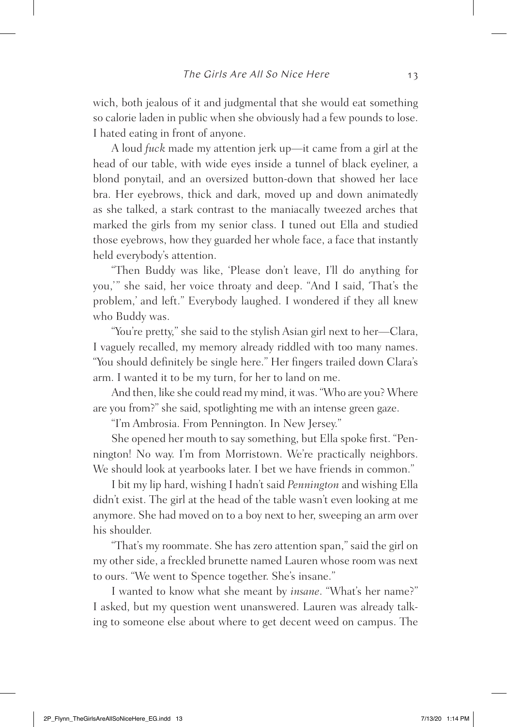wich, both jealous of it and judgmental that she would eat something so calorie laden in public when she obviously had a few pounds to lose. I hated eating in front of anyone.

A loud *fuck* made my attention jerk up—it came from a girl at the head of our table, with wide eyes inside a tunnel of black eyeliner, a blond ponytail, and an oversized button-down that showed her lace bra. Her eyebrows, thick and dark, moved up and down animatedly as she talked, a stark contrast to the maniacally tweezed arches that marked the girls from my senior class. I tuned out Ella and studied those eyebrows, how they guarded her whole face, a face that instantly held everybody's attention.

"Then Buddy was like, 'Please don't leave, I'll do anything for you,'" she said, her voice throaty and deep. "And I said, 'That's the problem,' and left." Everybody laughed. I wondered if they all knew who Buddy was.

"You're pretty," she said to the stylish Asian girl next to her—Clara, I vaguely recalled, my memory already riddled with too many names. "You should definitely be single here." Her fingers trailed down Clara's arm. I wanted it to be my turn, for her to land on me.

And then, like she could read my mind, it was. "Who are you? Where are you from?" she said, spotlighting me with an intense green gaze.

"I'm Ambrosia. From Pennington. In New Jersey."

She opened her mouth to say something, but Ella spoke first. "Pennington! No way. I'm from Morristown. We're practically neighbors. We should look at yearbooks later. I bet we have friends in common."

I bit my lip hard, wishing I hadn't said *Pennington* and wishing Ella didn't exist. The girl at the head of the table wasn't even looking at me anymore. She had moved on to a boy next to her, sweeping an arm over his shoulder.

"That's my roommate. She has zero attention span," said the girl on my other side, a freckled brunette named Lauren whose room was next to ours. "We went to Spence together. She's insane."

I wanted to know what she meant by *insane*. "What's her name?" I asked, but my question went unanswered. Lauren was already talking to someone else about where to get decent weed on campus. The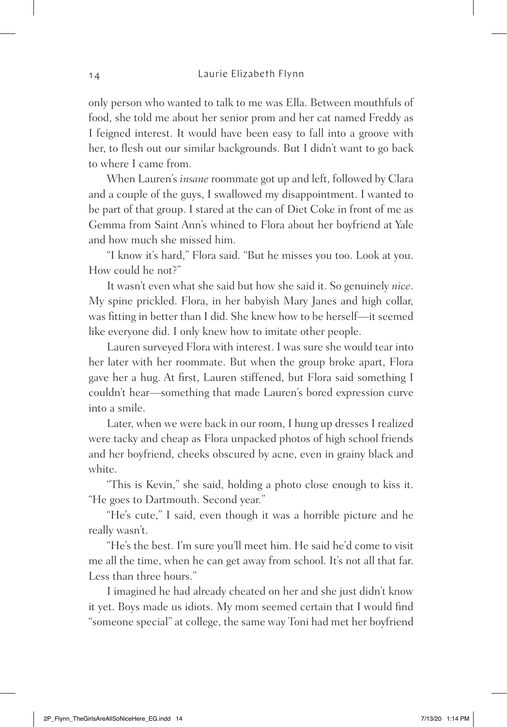only person who wanted to talk to me was Ella. Between mouthfuls of food, she told me about her senior prom and her cat named Freddy as I feigned interest. It would have been easy to fall into a groove with her, to flesh out our similar backgrounds. But I didn't want to go back to where I came from.

When Lauren's *insane* roommate got up and left, followed by Clara and a couple of the guys, I swallowed my disappointment. I wanted to be part of that group. I stared at the can of Diet Coke in front of me as Gemma from Saint Ann's whined to Flora about her boyfriend at Yale and how much she missed him.

"I know it's hard," Flora said. "But he misses you too. Look at you. How could he not?"

It wasn't even what she said but how she said it. So genuinely *nice*. My spine prickled. Flora, in her babyish Mary Janes and high collar, was fitting in better than I did. She knew how to be herself—it seemed like everyone did. I only knew how to imitate other people.

Lauren surveyed Flora with interest. I was sure she would tear into her later with her roommate. But when the group broke apart, Flora gave her a hug. At first, Lauren stiffened, but Flora said something I couldn't hear—something that made Lauren's bored expression curve into a smile.

Later, when we were back in our room, I hung up dresses I realized were tacky and cheap as Flora unpacked photos of high school friends and her boyfriend, cheeks obscured by acne, even in grainy black and white.

"This is Kevin," she said, holding a photo close enough to kiss it. "He goes to Dartmouth. Second year."

"He's cute," I said, even though it was a horrible picture and he really wasn't.

"He's the best. I'm sure you'll meet him. He said he'd come to visit me all the time, when he can get away from school. It's not all that far. Less than three hours."

I imagined he had already cheated on her and she just didn't know it yet. Boys made us idiots. My mom seemed certain that I would find "someone special" at college, the same way Toni had met her boyfriend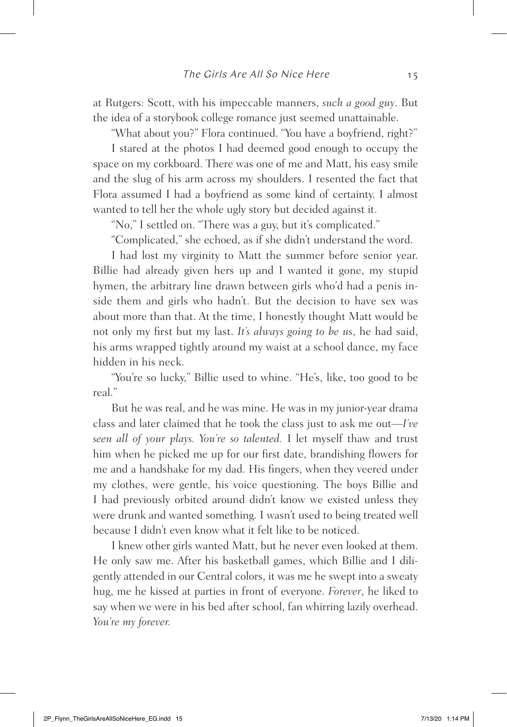at Rutgers: Scott, with his impeccable manners, *such a good guy*. But the idea of a storybook college romance just seemed unattainable.

"What about you?" Flora continued. "You have a boyfriend, right?"

I stared at the photos I had deemed good enough to occupy the space on my corkboard. There was one of me and Matt, his easy smile and the slug of his arm across my shoulders. I resented the fact that Flora assumed I had a boyfriend as some kind of certainty. I almost wanted to tell her the whole ugly story but decided against it.

"No," I settled on. "There was a guy, but it's complicated."

"Complicated," she echoed, as if she didn't understand the word.

I had lost my virginity to Matt the summer before senior year. Billie had already given hers up and I wanted it gone, my stupid hymen, the arbitrary line drawn between girls who'd had a penis inside them and girls who hadn't. But the decision to have sex was about more than that. At the time, I honestly thought Matt would be not only my first but my last. *It's always going to be us*, he had said, his arms wrapped tightly around my waist at a school dance, my face hidden in his neck.

"You're so lucky," Billie used to whine. "He's, like, too good to be real."

But he was real, and he was mine. He was in my junior-year drama class and later claimed that he took the class just to ask me out—*I've seen all of your plays. You're so talented.* I let myself thaw and trust him when he picked me up for our first date, brandishing flowers for me and a handshake for my dad. His fingers, when they veered under my clothes, were gentle, his voice questioning. The boys Billie and I had previously orbited around didn't know we existed unless they were drunk and wanted something. I wasn't used to being treated well because I didn't even know what it felt like to be noticed.

I knew other girls wanted Matt, but he never even looked at them. He only saw me. After his basketball games, which Billie and I diligently attended in our Central colors, it was me he swept into a sweaty hug, me he kissed at parties in front of everyone. *Forever*, he liked to say when we were in his bed after school, fan whirring lazily overhead. *You're my forever.*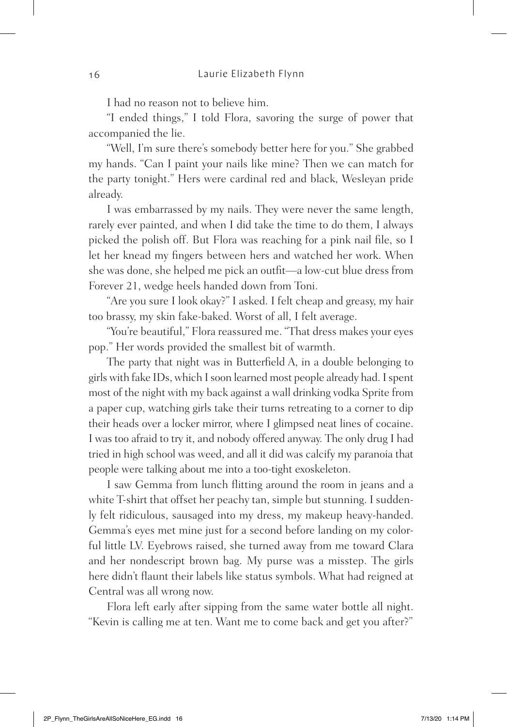I had no reason not to believe him.

"I ended things," I told Flora, savoring the surge of power that accompanied the lie.

"Well, I'm sure there's somebody better here for you." She grabbed my hands. "Can I paint your nails like mine? Then we can match for the party tonight." Hers were cardinal red and black, Wesleyan pride already.

I was embarrassed by my nails. They were never the same length, rarely ever painted, and when I did take the time to do them, I always picked the polish off. But Flora was reaching for a pink nail file, so I let her knead my fingers between hers and watched her work. When she was done, she helped me pick an outfit—a low-cut blue dress from Forever 21, wedge heels handed down from Toni.

"Are you sure I look okay?" I asked. I felt cheap and greasy, my hair too brassy, my skin fake-baked. Worst of all, I felt average.

"You're beautiful," Flora reassured me. "That dress makes your eyes pop." Her words provided the smallest bit of warmth.

The party that night was in Butterfield A, in a double belonging to girls with fake IDs, which I soon learned most people already had. I spent most of the night with my back against a wall drinking vodka Sprite from a paper cup, watching girls take their turns retreating to a corner to dip their heads over a locker mirror, where I glimpsed neat lines of cocaine. I was too afraid to try it, and nobody offered anyway. The only drug I had tried in high school was weed, and all it did was calcify my paranoia that people were talking about me into a too-tight exoskeleton.

I saw Gemma from lunch flitting around the room in jeans and a white T-shirt that offset her peachy tan, simple but stunning. I suddenly felt ridiculous, sausaged into my dress, my makeup heavy-handed. Gemma's eyes met mine just for a second before landing on my colorful little LV. Eyebrows raised, she turned away from me toward Clara and her nondescript brown bag. My purse was a misstep. The girls here didn't flaunt their labels like status symbols. What had reigned at Central was all wrong now.

Flora left early after sipping from the same water bottle all night. "Kevin is calling me at ten. Want me to come back and get you after?"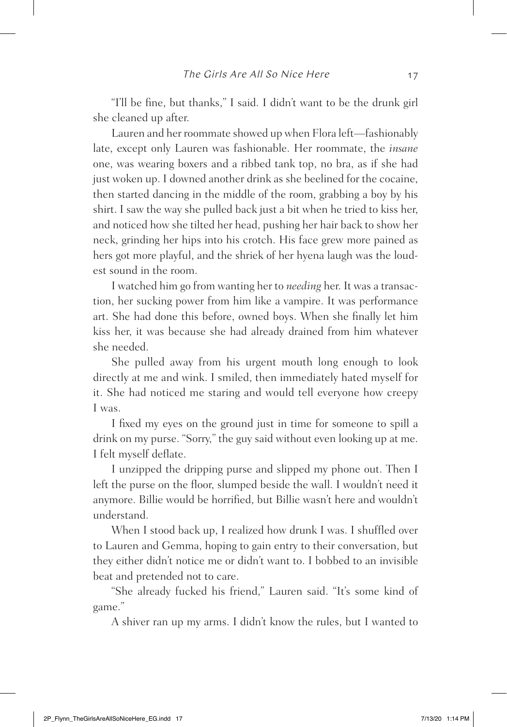"I'll be fine, but thanks," I said. I didn't want to be the drunk girl she cleaned up after.

Lauren and her roommate showed up when Flora left—fashionably late, except only Lauren was fashionable. Her roommate, the *insane* one, was wearing boxers and a ribbed tank top, no bra, as if she had just woken up. I downed another drink as she beelined for the cocaine, then started dancing in the middle of the room, grabbing a boy by his shirt. I saw the way she pulled back just a bit when he tried to kiss her, and noticed how she tilted her head, pushing her hair back to show her neck, grinding her hips into his crotch. His face grew more pained as hers got more playful, and the shriek of her hyena laugh was the loudest sound in the room.

I watched him go from wanting her to *needing* her. It was a transaction, her sucking power from him like a vampire. It was performance art. She had done this before, owned boys. When she finally let him kiss her, it was because she had already drained from him whatever she needed.

She pulled away from his urgent mouth long enough to look directly at me and wink. I smiled, then immediately hated myself for it. She had noticed me staring and would tell everyone how creepy I was.

I fixed my eyes on the ground just in time for someone to spill a drink on my purse. "Sorry," the guy said without even looking up at me. I felt myself deflate.

I unzipped the dripping purse and slipped my phone out. Then I left the purse on the floor, slumped beside the wall. I wouldn't need it anymore. Billie would be horrified, but Billie wasn't here and wouldn't understand.

When I stood back up, I realized how drunk I was. I shuffled over to Lauren and Gemma, hoping to gain entry to their conversation, but they either didn't notice me or didn't want to. I bobbed to an invisible beat and pretended not to care.

"She already fucked his friend," Lauren said. "It's some kind of game."

A shiver ran up my arms. I didn't know the rules, but I wanted to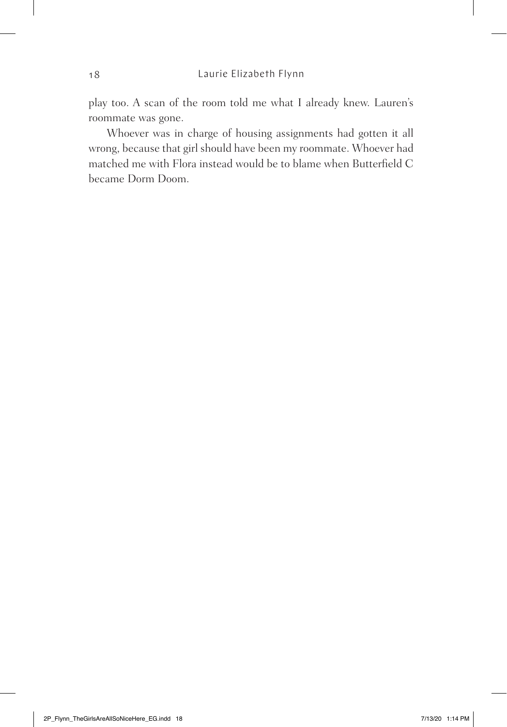play too. A scan of the room told me what I already knew. Lauren's roommate was gone.

Whoever was in charge of housing assignments had gotten it all wrong, because that girl should have been my roommate. Whoever had matched me with Flora instead would be to blame when Butterfield C became Dorm Doom.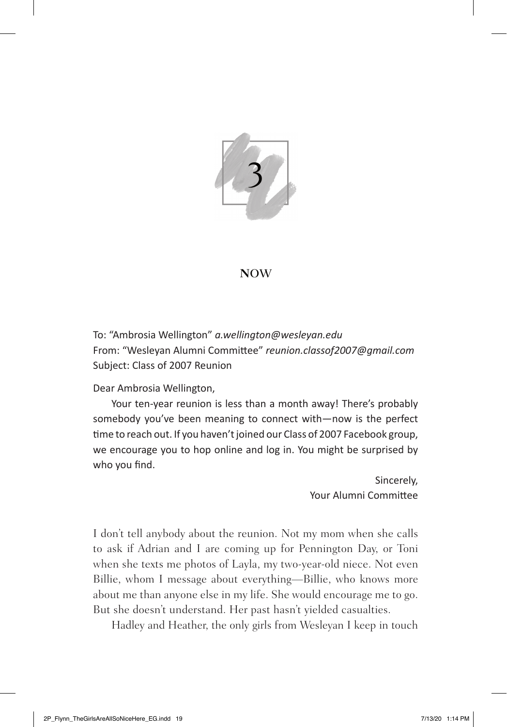

## N<sub>OW</sub>

To: "Ambrosia Wellington" *a.wellington@wesleyan.edu* From: "Wesleyan Alumni Committ ee" *reunion.classof2007@gmail.com* Subject: Class of 2007 Reunion

Dear Ambrosia Wellington,

Your ten-year reunion is less than a month away! There's probably somebody you've been meaning to connect with—now is the perfect time to reach out. If you haven't joined our Class of 2007 Facebook group, we encourage you to hop online and log in. You might be surprised by who you find.

> Sincerely, Your Alumni Committee

I don't tell anybody about the reunion. Not my mom when she calls to ask if Adrian and I are coming up for Pennington Day, or Toni when she texts me photos of Layla, my two-year-old niece. Not even Billie, whom I message about everything—Billie, who knows more about me than anyone else in my life. She would encourage me to go. But she doesn't understand. Her past hasn't yielded casualties.

Hadley and Heather, the only girls from Wesleyan I keep in touch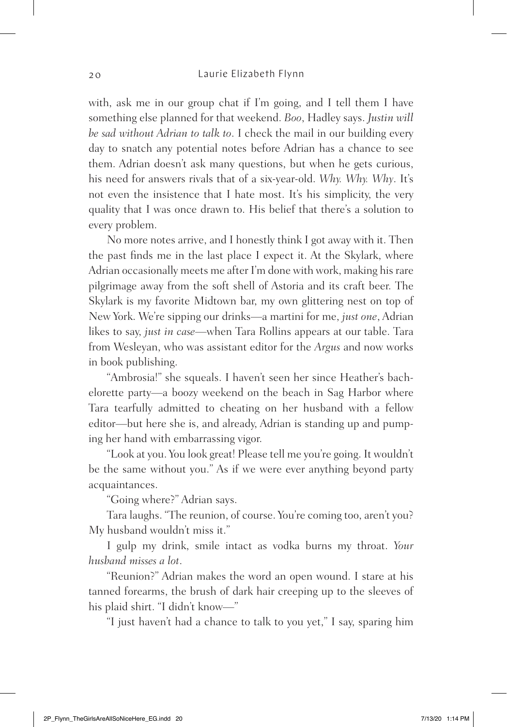with, ask me in our group chat if I'm going, and I tell them I have something else planned for that weekend. *Boo*, Hadley says. *Justin will be sad without Adrian to talk to*. I check the mail in our building every day to snatch any potential notes before Adrian has a chance to see them. Adrian doesn't ask many questions, but when he gets curious, his need for answers rivals that of a six-year-old. *Why. Why. Why*. It's not even the insistence that I hate most. It's his simplicity, the very quality that I was once drawn to. His belief that there's a solution to every problem.

No more notes arrive, and I honestly think I got away with it. Then the past finds me in the last place I expect it. At the Skylark, where Adrian occasionally meets me after I'm done with work, making his rare pilgrimage away from the soft shell of Astoria and its craft beer. The Skylark is my favorite Midtown bar, my own glittering nest on top of New York. We're sipping our drinks—a martini for me, *just one*, Adrian likes to say, *just in case*—when Tara Rollins appears at our table. Tara from Wesleyan, who was assistant editor for the *Argus* and now works in book publishing.

"Ambrosia!" she squeals. I haven't seen her since Heather's bachelorette party—a boozy weekend on the beach in Sag Harbor where Tara tearfully admitted to cheating on her husband with a fellow editor—but here she is, and already, Adrian is standing up and pumping her hand with embarrassing vigor.

"Look at you. You look great! Please tell me you're going. It wouldn't be the same without you." As if we were ever anything beyond party acquaintances.

"Going where?" Adrian says.

Tara laughs. "The reunion, of course. You're coming too, aren't you? My husband wouldn't miss it."

I gulp my drink, smile intact as vodka burns my throat. *Your husband misses a lot*.

"Reunion?" Adrian makes the word an open wound. I stare at his tanned forearms, the brush of dark hair creeping up to the sleeves of his plaid shirt. "I didn't know—"

"I just haven't had a chance to talk to you yet," I say, sparing him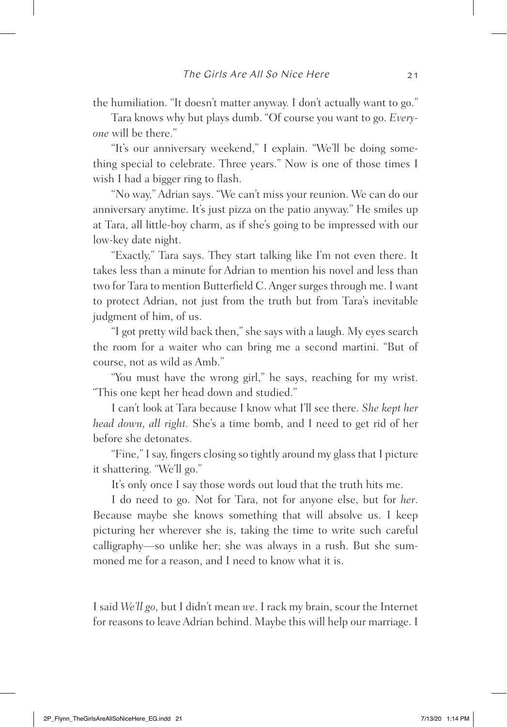the humiliation. "It doesn't matter anyway. I don't actually want to go."

Tara knows why but plays dumb. "Of course you want to go. *Everyone* will be there."

"It's our anniversary weekend," I explain. "We'll be doing something special to celebrate. Three years." Now is one of those times I wish I had a bigger ring to flash.

"No way," Adrian says. "We can't miss your reunion. We can do our anniversary anytime. It's just pizza on the patio anyway." He smiles up at Tara, all little-boy charm, as if she's going to be impressed with our low-key date night.

"Exactly," Tara says. They start talking like I'm not even there. It takes less than a minute for Adrian to mention his novel and less than two for Tara to mention Butterfield C. Anger surges through me. I want to protect Adrian, not just from the truth but from Tara's inevitable judgment of him, of us.

"I got pretty wild back then," she says with a laugh. My eyes search the room for a waiter who can bring me a second martini. "But of course, not as wild as Amb."

"You must have the wrong girl," he says, reaching for my wrist. "This one kept her head down and studied."

I can't look at Tara because I know what I'll see there. *She kept her head down, all right.* She's a time bomb, and I need to get rid of her before she detonates.

"Fine," I say, fingers closing so tightly around my glass that I picture it shattering. "We'll go."

It's only once I say those words out loud that the truth hits me.

I do need to go. Not for Tara, not for anyone else, but for *her*. Because maybe she knows something that will absolve us. I keep picturing her wherever she is, taking the time to write such careful calligraphy—so unlike her; she was always in a rush. But she summoned me for a reason, and I need to know what it is.

I said *We'll go,* but I didn't mean *we*. I rack my brain, scour the Internet for reasons to leave Adrian behind. Maybe this will help our marriage. I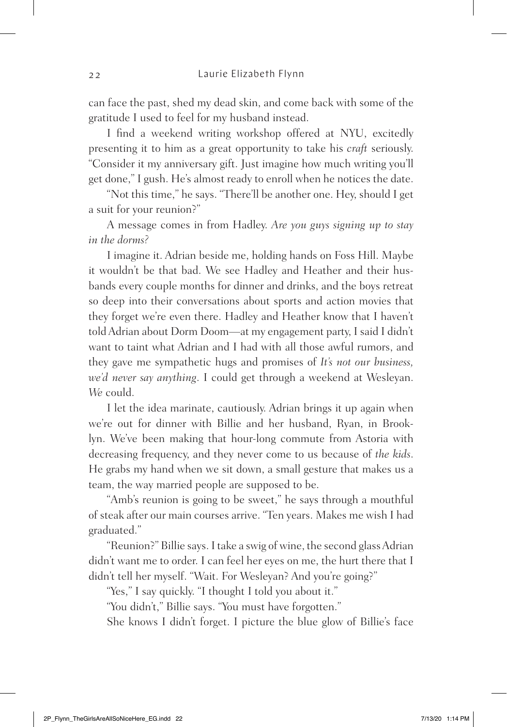can face the past, shed my dead skin, and come back with some of the gratitude I used to feel for my husband instead.

I find a weekend writing workshop offered at NYU, excitedly presenting it to him as a great opportunity to take his *craft* seriously. "Consider it my anniversary gift. Just imagine how much writing you'll get done," I gush. He's almost ready to enroll when he notices the date.

"Not this time," he says. "There'll be another one. Hey, should I get a suit for your reunion?"

A message comes in from Hadley. *Are you guys signing up to stay in the dorms?*

I imagine it. Adrian beside me, holding hands on Foss Hill. Maybe it wouldn't be that bad. We see Hadley and Heather and their husbands every couple months for dinner and drinks, and the boys retreat so deep into their conversations about sports and action movies that they forget we're even there. Hadley and Heather know that I haven't told Adrian about Dorm Doom—at my engagement party, I said I didn't want to taint what Adrian and I had with all those awful rumors, and they gave me sympathetic hugs and promises of *It's not our business, we'd never say anything*. I could get through a weekend at Wesleyan. *We* could.

I let the idea marinate, cautiously. Adrian brings it up again when we're out for dinner with Billie and her husband, Ryan, in Brooklyn. We've been making that hour-long commute from Astoria with decreasing frequency, and they never come to us because of *the kids*. He grabs my hand when we sit down, a small gesture that makes us a team, the way married people are supposed to be.

"Amb's reunion is going to be sweet," he says through a mouthful of steak after our main courses arrive. "Ten years. Makes me wish I had graduated."

"Reunion?" Billie says. I take a swig of wine, the second glass Adrian didn't want me to order. I can feel her eyes on me, the hurt there that I didn't tell her myself. "Wait. For Wesleyan? And you're going?"

"Yes," I say quickly. "I thought I told you about it."

"You didn't," Billie says. "You must have forgotten."

She knows I didn't forget. I picture the blue glow of Billie's face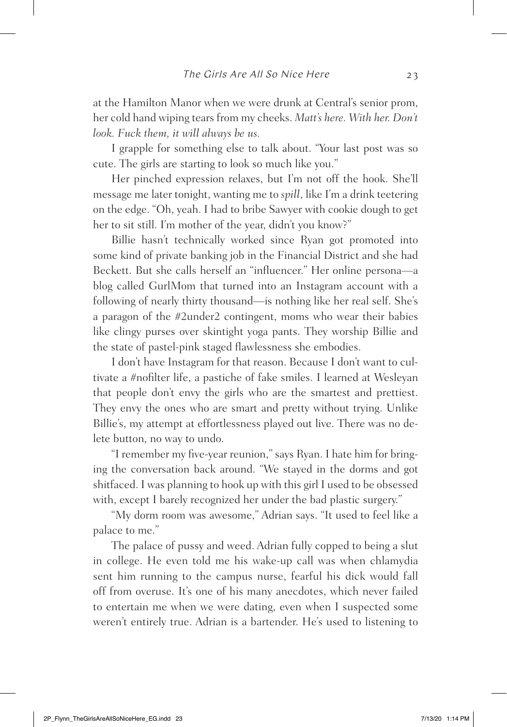at the Hamilton Manor when we were drunk at Central's senior prom, her cold hand wiping tears from my cheeks. *Matt's here. With her. Don't look. Fuck them, it will always be us.* 

I grapple for something else to talk about. "Your last post was so cute. The girls are starting to look so much like you."

Her pinched expression relaxes, but I'm not off the hook. She'll message me later tonight, wanting me to *spill*, like I'm a drink teetering on the edge. "Oh, yeah. I had to bribe Sawyer with cookie dough to get her to sit still. I'm mother of the year, didn't you know?"

Billie hasn't technically worked since Ryan got promoted into some kind of private banking job in the Financial District and she had Beckett. But she calls herself an "influencer." Her online persona—a blog called GurlMom that turned into an Instagram account with a following of nearly thirty thousand—is nothing like her real self. She's a paragon of the #2under2 contingent, moms who wear their babies like clingy purses over skintight yoga pants. They worship Billie and the state of pastel-pink staged flawlessness she embodies.

I don't have Instagram for that reason. Because I don't want to cultivate a #nofilter life, a pastiche of fake smiles. I learned at Wesleyan that people don't envy the girls who are the smartest and prettiest. They envy the ones who are smart and pretty without trying. Unlike Billie's, my attempt at effortlessness played out live. There was no delete button, no way to undo.

"I remember my five-year reunion," says Ryan. I hate him for bringing the conversation back around. "We stayed in the dorms and got shitfaced. I was planning to hook up with this girl I used to be obsessed with, except I barely recognized her under the bad plastic surgery."

"My dorm room was awesome," Adrian says. "It used to feel like a palace to me."

The palace of pussy and weed. Adrian fully copped to being a slut in college. He even told me his wake-up call was when chlamydia sent him running to the campus nurse, fearful his dick would fall off from overuse. It's one of his many anecdotes, which never failed to entertain me when we were dating, even when I suspected some weren't entirely true. Adrian is a bartender. He's used to listening to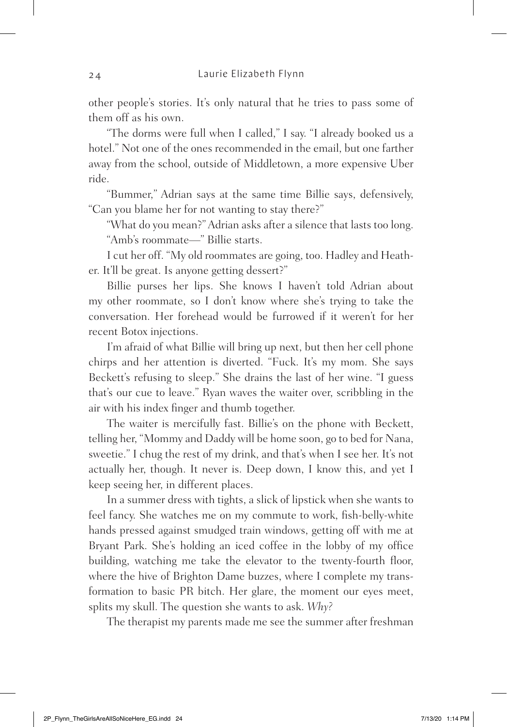other people's stories. It's only natural that he tries to pass some of them off as his own.

"The dorms were full when I called," I say. "I already booked us a hotel." Not one of the ones recommended in the email, but one farther away from the school, outside of Middletown, a more expensive Uber ride.

"Bummer," Adrian says at the same time Billie says, defensively, "Can you blame her for not wanting to stay there?"

"What do you mean?" Adrian asks after a silence that lasts too long. "Amb's roommate—" Billie starts.

I cut her off. "My old roommates are going, too. Hadley and Heather. It'll be great. Is anyone getting dessert?"

Billie purses her lips. She knows I haven't told Adrian about my other roommate, so I don't know where she's trying to take the conversation. Her forehead would be furrowed if it weren't for her recent Botox injections.

I'm afraid of what Billie will bring up next, but then her cell phone chirps and her attention is diverted. "Fuck. It's my mom. She says Beckett's refusing to sleep." She drains the last of her wine. "I guess that's our cue to leave." Ryan waves the waiter over, scribbling in the air with his index finger and thumb together.

The waiter is mercifully fast. Billie's on the phone with Beckett, telling her, "Mommy and Daddy will be home soon, go to bed for Nana, sweetie." I chug the rest of my drink, and that's when I see her. It's not actually her, though. It never is. Deep down, I know this, and yet I keep seeing her, in different places.

In a summer dress with tights, a slick of lipstick when she wants to feel fancy. She watches me on my commute to work, fish-belly-white hands pressed against smudged train windows, getting off with me at Bryant Park. She's holding an iced coffee in the lobby of my office building, watching me take the elevator to the twenty-fourth floor, where the hive of Brighton Dame buzzes, where I complete my transformation to basic PR bitch. Her glare, the moment our eyes meet, splits my skull. The question she wants to ask. *Why?*

The therapist my parents made me see the summer after freshman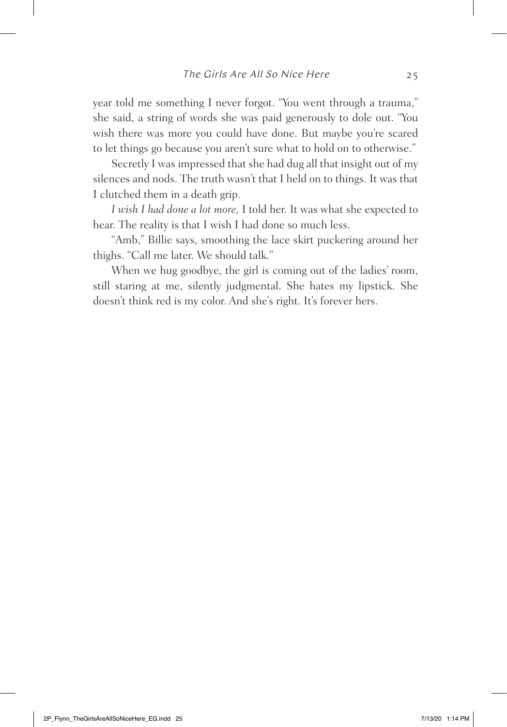year told me something I never forgot. "You went through a trauma," she said, a string of words she was paid generously to dole out. "You wish there was more you could have done. But maybe you're scared to let things go because you aren't sure what to hold on to otherwise."

Secretly I was impressed that she had dug all that insight out of my silences and nods. The truth wasn't that I held on to things. It was that I clutched them in a death grip.

*I wish I had done a lot more,* I told her. It was what she expected to hear. The reality is that I wish I had done so much less.

"Amb," Billie says, smoothing the lace skirt puckering around her thighs. "Call me later. We should talk."

When we hug goodbye, the girl is coming out of the ladies' room, still staring at me, silently judgmental. She hates my lipstick. She doesn't think red is my color. And she's right. It's forever hers.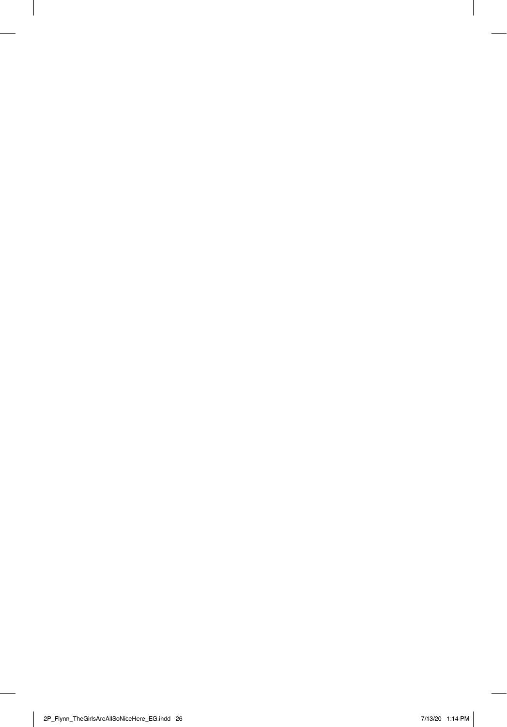$\overline{\phantom{a}}$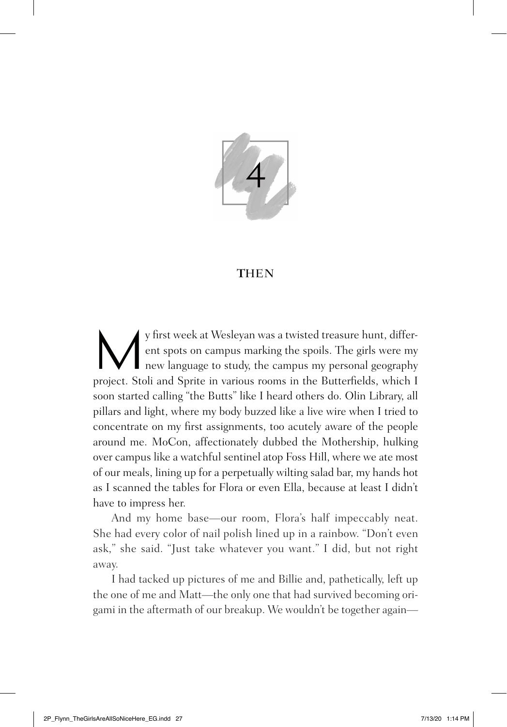

## **THEN**

y first week at Wesleyan was a twisted treasure hunt, different spots on campus marking the spoils. The girls were my<br>new language to study, the campus my personal geography<br>negative Stell and Sprits in various reams in th ent spots on campus marking the spoils. The girls were my new language to study, the campus my personal geography project. Stoli and Sprite in various rooms in the Butterfields, which I soon started calling "the Butts" like I heard others do. Olin Library, all pillars and light, where my body buzzed like a live wire when I tried to concentrate on my first assignments, too acutely aware of the people around me. MoCon, affectionately dubbed the Mothership, hulking over campus like a watchful sentinel atop Foss Hill, where we ate most of our meals, lining up for a perpetually wilting salad bar, my hands hot as I scanned the tables for Flora or even Ella, because at least I didn't have to impress her.

And my home base—our room, Flora's half impeccably neat. She had every color of nail polish lined up in a rainbow. "Don't even ask," she said. "Just take whatever you want." I did, but not right away.

I had tacked up pictures of me and Billie and, pathetically, left up the one of me and Matt—the only one that had survived becoming origami in the aftermath of our breakup. We wouldn't be together again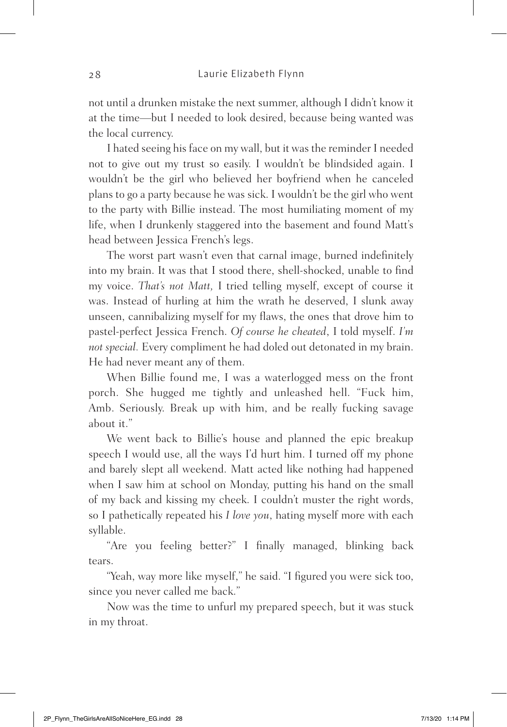not until a drunken mistake the next summer, although I didn't know it at the time—but I needed to look desired, because being wanted was the local currency.

I hated seeing his face on my wall, but it was the reminder I needed not to give out my trust so easily. I wouldn't be blindsided again. I wouldn't be the girl who believed her boyfriend when he canceled plans to go a party because he was sick. I wouldn't be the girl who went to the party with Billie instead. The most humiliating moment of my life, when I drunkenly staggered into the basement and found Matt's head between Jessica French's legs.

The worst part wasn't even that carnal image, burned indefinitely into my brain. It was that I stood there, shell-shocked, unable to find my voice. *That's not Matt,* I tried telling myself, except of course it was. Instead of hurling at him the wrath he deserved, I slunk away unseen, cannibalizing myself for my flaws, the ones that drove him to pastel-perfect Jessica French. *Of course he cheated*, I told myself. *I'm not special.* Every compliment he had doled out detonated in my brain. He had never meant any of them.

When Billie found me, I was a waterlogged mess on the front porch. She hugged me tightly and unleashed hell. "Fuck him, Amb. Seriously. Break up with him, and be really fucking savage about it."

We went back to Billie's house and planned the epic breakup speech I would use, all the ways I'd hurt him. I turned off my phone and barely slept all weekend. Matt acted like nothing had happened when I saw him at school on Monday, putting his hand on the small of my back and kissing my cheek. I couldn't muster the right words, so I pathetically repeated his *I love you*, hating myself more with each syllable.

"Are you feeling better?" I finally managed, blinking back tears.

"Yeah, way more like myself," he said. "I figured you were sick too, since you never called me back."

Now was the time to unfurl my prepared speech, but it was stuck in my throat.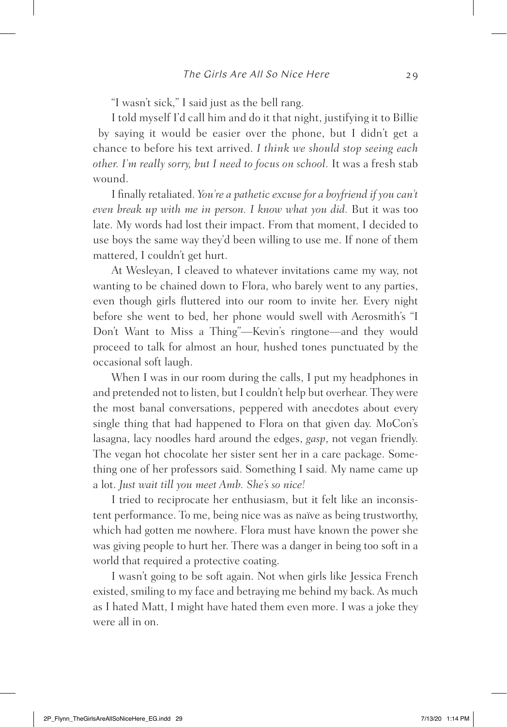"I wasn't sick," I said just as the bell rang.

I told myself I'd call him and do it that night, justifying it to Billie by saying it would be easier over the phone, but I didn't get a chance to before his text arrived. *I think we should stop seeing each other. I'm really sorry, but I need to focus on school.* It was a fresh stab wound.

I finally retaliated. *You're a pathetic excuse for a boyfriend if you can't even break up with me in person. I know what you did.* But it was too late. My words had lost their impact. From that moment, I decided to use boys the same way they'd been willing to use me. If none of them mattered, I couldn't get hurt.

At Wesleyan, I cleaved to whatever invitations came my way, not wanting to be chained down to Flora, who barely went to any parties, even though girls fluttered into our room to invite her. Every night before she went to bed, her phone would swell with Aerosmith's "I Don't Want to Miss a Thing"—Kevin's ringtone—and they would proceed to talk for almost an hour, hushed tones punctuated by the occasional soft laugh.

When I was in our room during the calls, I put my headphones in and pretended not to listen, but I couldn't help but overhear. They were the most banal conversations, peppered with anecdotes about every single thing that had happened to Flora on that given day. MoCon's lasagna, lacy noodles hard around the edges, *gasp*, not vegan friendly. The vegan hot chocolate her sister sent her in a care package. Something one of her professors said. Something I said. My name came up a lot. *Just wait till you meet Amb. She's so nice!* 

I tried to reciprocate her enthusiasm, but it felt like an inconsistent performance. To me, being nice was as naïve as being trustworthy, which had gotten me nowhere. Flora must have known the power she was giving people to hurt her. There was a danger in being too soft in a world that required a protective coating.

I wasn't going to be soft again. Not when girls like Jessica French existed, smiling to my face and betraying me behind my back. As much as I hated Matt, I might have hated them even more. I was a joke they were all in on.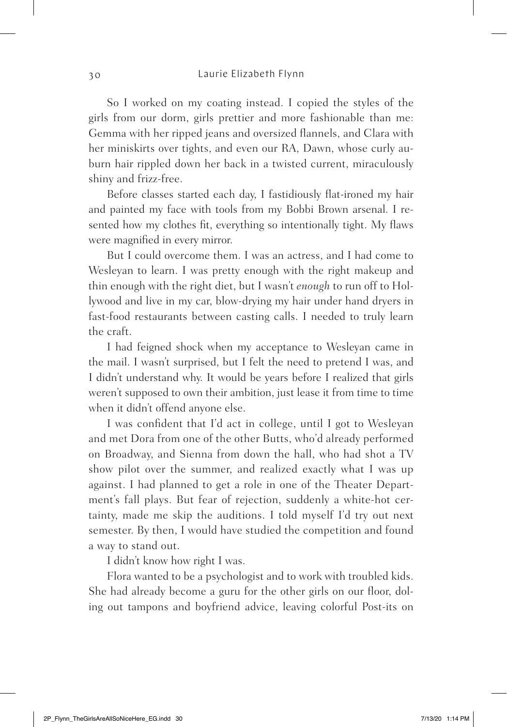So I worked on my coating instead. I copied the styles of the girls from our dorm, girls prettier and more fashionable than me: Gemma with her ripped jeans and oversized flannels, and Clara with her miniskirts over tights, and even our RA, Dawn, whose curly auburn hair rippled down her back in a twisted current, miraculously shiny and frizz-free.

Before classes started each day, I fastidiously flat-ironed my hair and painted my face with tools from my Bobbi Brown arsenal. I resented how my clothes fit, everything so intentionally tight. My flaws were magnified in every mirror.

But I could overcome them. I was an actress, and I had come to Wesleyan to learn. I was pretty enough with the right makeup and thin enough with the right diet, but I wasn't *enough* to run off to Hollywood and live in my car, blow-drying my hair under hand dryers in fast-food restaurants between casting calls. I needed to truly learn the craft.

I had feigned shock when my acceptance to Wesleyan came in the mail. I wasn't surprised, but I felt the need to pretend I was, and I didn't understand why. It would be years before I realized that girls weren't supposed to own their ambition, just lease it from time to time when it didn't offend anyone else.

I was confident that I'd act in college, until I got to Wesleyan and met Dora from one of the other Butts, who'd already performed on Broadway, and Sienna from down the hall, who had shot a TV show pilot over the summer, and realized exactly what I was up against. I had planned to get a role in one of the Theater Department's fall plays. But fear of rejection, suddenly a white-hot certainty, made me skip the auditions. I told myself I'd try out next semester. By then, I would have studied the competition and found a way to stand out.

I didn't know how right I was.

Flora wanted to be a psychologist and to work with troubled kids. She had already become a guru for the other girls on our floor, doling out tampons and boyfriend advice, leaving colorful Post-its on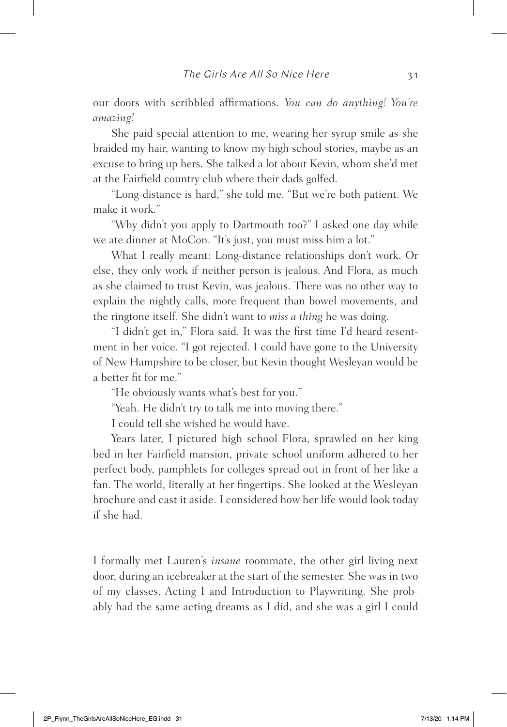our doors with scribbled affirmations. *You can do anything! You're amazing!*

She paid special attention to me, wearing her syrup smile as she braided my hair, wanting to know my high school stories, maybe as an excuse to bring up hers. She talked a lot about Kevin, whom she'd met at the Fairfield country club where their dads golfed.

"Long-distance is hard," she told me. "But we're both patient. We make it work."

"Why didn't you apply to Dartmouth too?" I asked one day while we ate dinner at MoCon. "It's just, you must miss him a lot."

What I really meant: Long-distance relationships don't work. Or else, they only work if neither person is jealous. And Flora, as much as she claimed to trust Kevin, was jealous. There was no other way to explain the nightly calls, more frequent than bowel movements, and the ringtone itself. She didn't want to *miss a thing* he was doing.

"I didn't get in," Flora said. It was the first time I'd heard resentment in her voice. "I got rejected. I could have gone to the University of New Hampshire to be closer, but Kevin thought Wesleyan would be a better fit for me."

"He obviously wants what's best for you."

"Yeah. He didn't try to talk me into moving there."

I could tell she wished he would have.

Years later, I pictured high school Flora, sprawled on her king bed in her Fairfield mansion, private school uniform adhered to her perfect body, pamphlets for colleges spread out in front of her like a fan. The world, literally at her fingertips. She looked at the Wesleyan brochure and cast it aside. I considered how her life would look today if she had.

I formally met Lauren's *insane* roommate, the other girl living next door, during an icebreaker at the start of the semester. She was in two of my classes, Acting I and Introduction to Playwriting. She probably had the same acting dreams as I did, and she was a girl I could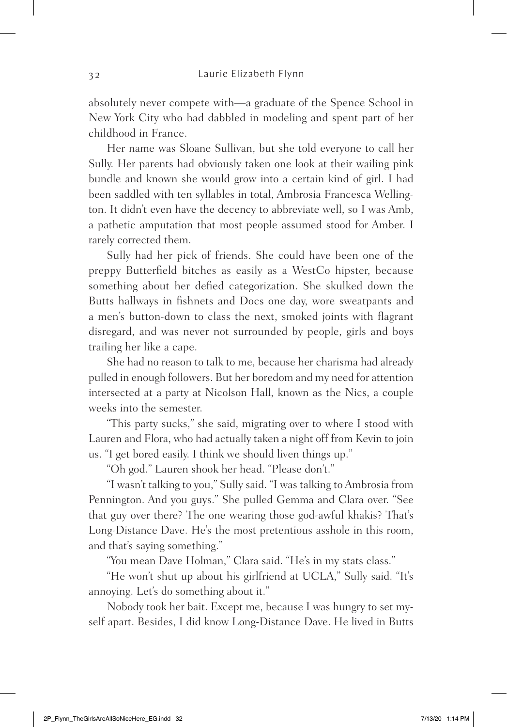absolutely never compete with—a graduate of the Spence School in New York City who had dabbled in modeling and spent part of her childhood in France.

Her name was Sloane Sullivan, but she told everyone to call her Sully. Her parents had obviously taken one look at their wailing pink bundle and known she would grow into a certain kind of girl. I had been saddled with ten syllables in total, Ambrosia Francesca Wellington. It didn't even have the decency to abbreviate well, so I was Amb, a pathetic amputation that most people assumed stood for Amber. I rarely corrected them.

Sully had her pick of friends. She could have been one of the preppy Butterfield bitches as easily as a WestCo hipster, because something about her defied categorization. She skulked down the Butts hallways in fishnets and Docs one day, wore sweatpants and a men's button-down to class the next, smoked joints with flagrant disregard, and was never not surrounded by people, girls and boys trailing her like a cape.

She had no reason to talk to me, because her charisma had already pulled in enough followers. But her boredom and my need for attention intersected at a party at Nicolson Hall, known as the Nics, a couple weeks into the semester.

"This party sucks," she said, migrating over to where I stood with Lauren and Flora, who had actually taken a night off from Kevin to join us. "I get bored easily. I think we should liven things up."

"Oh god." Lauren shook her head. "Please don't."

"I wasn't talking to you," Sully said. "I was talking to Ambrosia from Pennington. And you guys." She pulled Gemma and Clara over. "See that guy over there? The one wearing those god-awful khakis? That's Long-Distance Dave. He's the most pretentious asshole in this room, and that's saying something."

"You mean Dave Holman," Clara said. "He's in my stats class."

"He won't shut up about his girlfriend at UCLA," Sully said. "It's annoying. Let's do something about it."

Nobody took her bait. Except me, because I was hungry to set myself apart. Besides, I did know Long-Distance Dave. He lived in Butts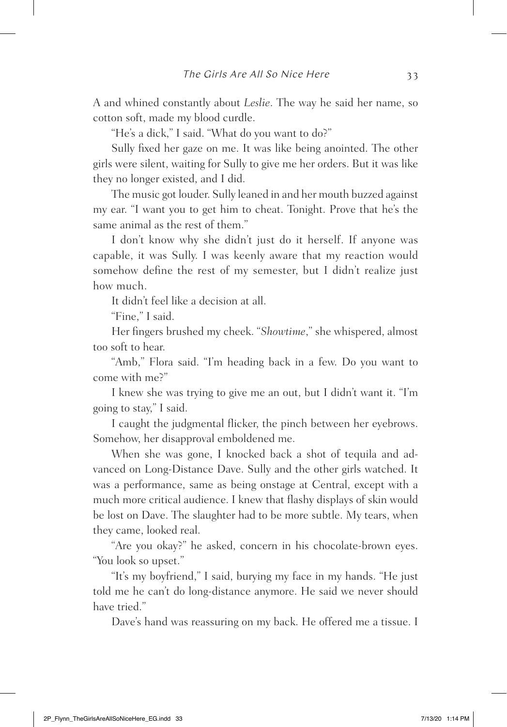A and whined constantly about *Leslie*. The way he said her name, so cotton soft, made my blood curdle.

"He's a dick," I said. "What do you want to do?"

Sully fixed her gaze on me. It was like being anointed. The other girls were silent, waiting for Sully to give me her orders. But it was like they no longer existed, and I did.

The music got louder. Sully leaned in and her mouth buzzed against my ear. "I want you to get him to cheat. Tonight. Prove that he's the same animal as the rest of them."

I don't know why she didn't just do it herself. If anyone was capable, it was Sully. I was keenly aware that my reaction would somehow define the rest of my semester, but I didn't realize just how much.

It didn't feel like a decision at all.

"Fine," I said.

Her fingers brushed my cheek. "*Showtime*," she whispered, almost too soft to hear.

"Amb," Flora said. "I'm heading back in a few. Do you want to come with me?"

I knew she was trying to give me an out, but I didn't want it. "I'm going to stay," I said.

I caught the judgmental flicker, the pinch between her eyebrows. Somehow, her disapproval emboldened me.

When she was gone, I knocked back a shot of tequila and advanced on Long-Distance Dave. Sully and the other girls watched. It was a performance, same as being onstage at Central, except with a much more critical audience. I knew that flashy displays of skin would be lost on Dave. The slaughter had to be more subtle. My tears, when they came, looked real.

"Are you okay?" he asked, concern in his chocolate-brown eyes. "You look so upset."

"It's my boyfriend," I said, burying my face in my hands. "He just told me he can't do long-distance anymore. He said we never should have tried."

Dave's hand was reassuring on my back. He offered me a tissue. I

2P\_Flynn\_TheGirlsAreAllSoNiceHere\_EG.indd 33 7/13/20 1:14 PM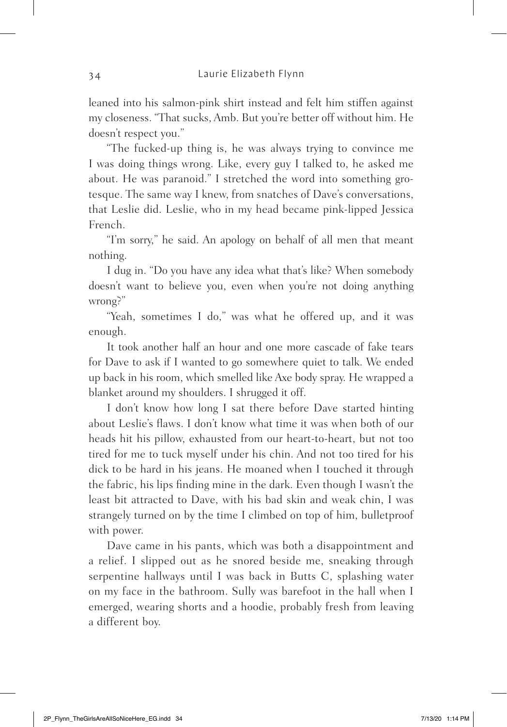leaned into his salmon-pink shirt instead and felt him stiffen against my closeness. "That sucks, Amb. But you're better off without him. He doesn't respect you."

"The fucked-up thing is, he was always trying to convince me I was doing things wrong. Like, every guy I talked to, he asked me about. He was paranoid." I stretched the word into something grotesque. The same way I knew, from snatches of Dave's conversations, that Leslie did. Leslie, who in my head became pink-lipped Jessica French.

"I'm sorry," he said. An apology on behalf of all men that meant nothing.

I dug in. "Do you have any idea what that's like? When somebody doesn't want to believe you, even when you're not doing anything wrong?"

"Yeah, sometimes I do," was what he offered up, and it was enough.

It took another half an hour and one more cascade of fake tears for Dave to ask if I wanted to go somewhere quiet to talk. We ended up back in his room, which smelled like Axe body spray. He wrapped a blanket around my shoulders. I shrugged it off.

I don't know how long I sat there before Dave started hinting about Leslie's flaws. I don't know what time it was when both of our heads hit his pillow, exhausted from our heart-to-heart, but not too tired for me to tuck myself under his chin. And not too tired for his dick to be hard in his jeans. He moaned when I touched it through the fabric, his lips finding mine in the dark. Even though I wasn't the least bit attracted to Dave, with his bad skin and weak chin, I was strangely turned on by the time I climbed on top of him, bulletproof with power.

Dave came in his pants, which was both a disappointment and a relief. I slipped out as he snored beside me, sneaking through serpentine hallways until I was back in Butts C, splashing water on my face in the bathroom. Sully was barefoot in the hall when I emerged, wearing shorts and a hoodie, probably fresh from leaving a different boy.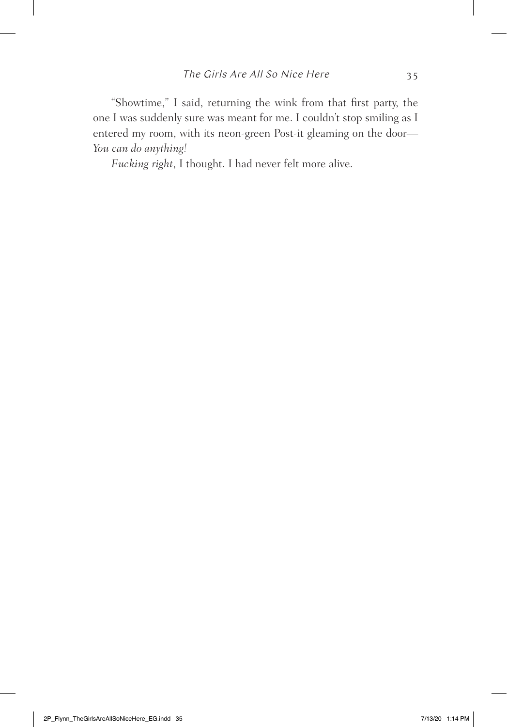"Showtime," I said, returning the wink from that first party, the one I was suddenly sure was meant for me. I couldn't stop smiling as I entered my room, with its neon-green Post-it gleaming on the door— *You can do anything!*

*Fucking right*, I thought. I had never felt more alive.

2P\_Flynn\_TheGirlsAreAllSoNiceHere\_EG.indd 35 7/13/20 1:14 PM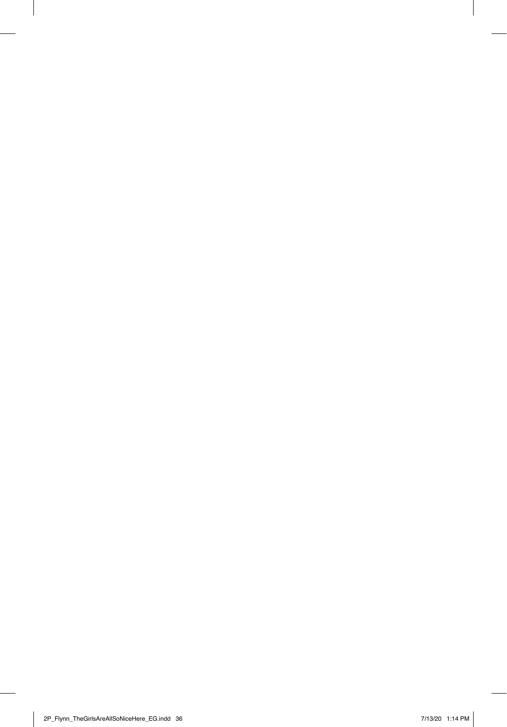$\overline{\phantom{a}}$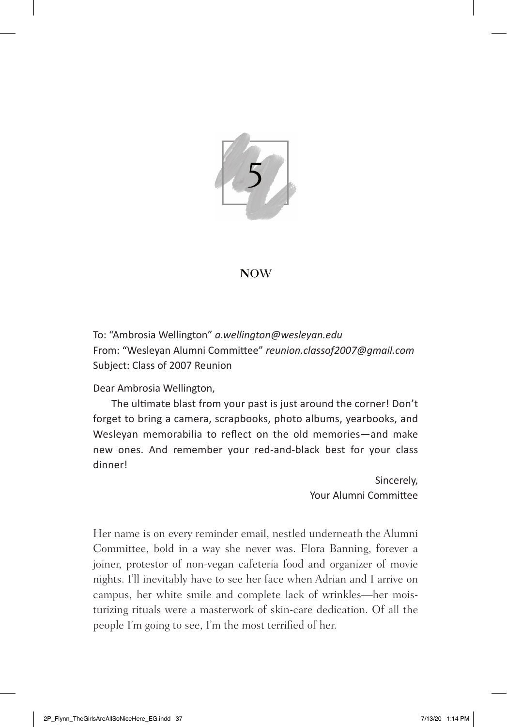

# N<sub>OW</sub>

To: "Ambrosia Wellington" *a.wellington@wesleyan.edu* From: "Wesleyan Alumni Committee" reunion.classof2007@gmail.com Subject: Class of 2007 Reunion

Dear Ambrosia Wellington,

The ultimate blast from your past is just around the corner! Don't forget to bring a camera, scrapbooks, photo albums, yearbooks, and Wesleyan memorabilia to reflect on the old memories—and make new ones. And remember your red-and-black best for your class dinner!

> Sincerely, Your Alumni Committee

Her name is on every reminder email, nestled underneath the Alumni Committee, bold in a way she never was. Flora Banning, forever a joiner, protestor of non-vegan cafeteria food and organizer of movie nights. I'll inevitably have to see her face when Adrian and I arrive on campus, her white smile and complete lack of wrinkles—her moisturizing rituals were a masterwork of skin-care dedication. Of all the people I'm going to see, I'm the most terrified of her.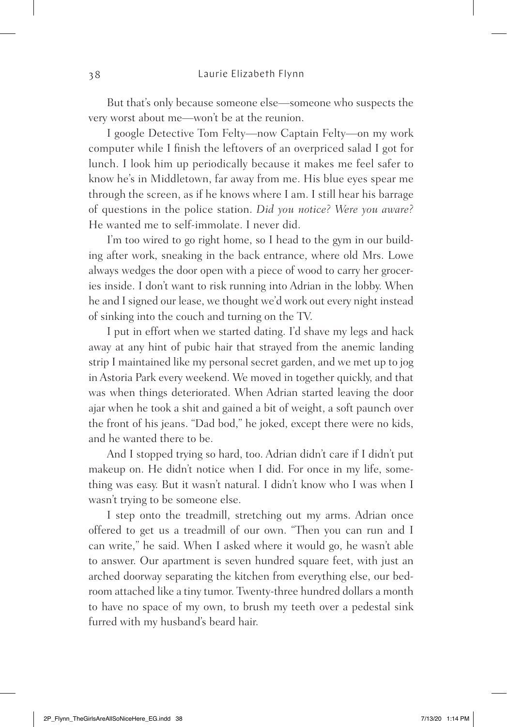But that's only because someone else—someone who suspects the very worst about me—won't be at the reunion.

I google Detective Tom Felty—now Captain Felty—on my work computer while I finish the leftovers of an overpriced salad I got for lunch. I look him up periodically because it makes me feel safer to know he's in Middletown, far away from me. His blue eyes spear me through the screen, as if he knows where I am. I still hear his barrage of questions in the police station. *Did you notice? Were you aware?* He wanted me to self-immolate. I never did.

I'm too wired to go right home, so I head to the gym in our building after work, sneaking in the back entrance, where old Mrs. Lowe always wedges the door open with a piece of wood to carry her groceries inside. I don't want to risk running into Adrian in the lobby. When he and I signed our lease, we thought we'd work out every night instead of sinking into the couch and turning on the TV.

I put in effort when we started dating. I'd shave my legs and hack away at any hint of pubic hair that strayed from the anemic landing strip I maintained like my personal secret garden, and we met up to jog in Astoria Park every weekend. We moved in together quickly, and that was when things deteriorated. When Adrian started leaving the door ajar when he took a shit and gained a bit of weight, a soft paunch over the front of his jeans. "Dad bod," he joked, except there were no kids, and he wanted there to be.

And I stopped trying so hard, too. Adrian didn't care if I didn't put makeup on. He didn't notice when I did. For once in my life, something was easy. But it wasn't natural. I didn't know who I was when I wasn't trying to be someone else.

I step onto the treadmill, stretching out my arms. Adrian once offered to get us a treadmill of our own. "Then you can run and I can write," he said. When I asked where it would go, he wasn't able to answer. Our apartment is seven hundred square feet, with just an arched doorway separating the kitchen from everything else, our bedroom attached like a tiny tumor. Twenty-three hundred dollars a month to have no space of my own, to brush my teeth over a pedestal sink furred with my husband's beard hair.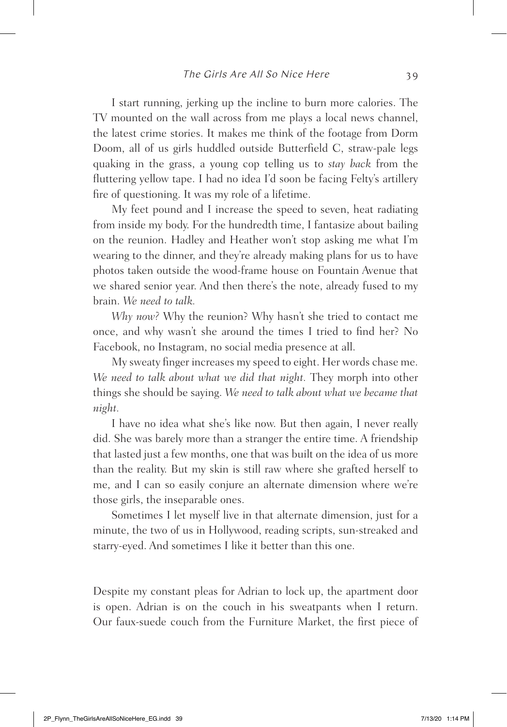I start running, jerking up the incline to burn more calories. The TV mounted on the wall across from me plays a local news channel, the latest crime stories. It makes me think of the footage from Dorm Doom, all of us girls huddled outside Butterfield C, straw-pale legs quaking in the grass, a young cop telling us to *stay back* from the fluttering yellow tape. I had no idea I'd soon be facing Felty's artillery fire of questioning. It was my role of a lifetime.

My feet pound and I increase the speed to seven, heat radiating from inside my body. For the hundredth time, I fantasize about bailing on the reunion. Hadley and Heather won't stop asking me what I'm wearing to the dinner, and they're already making plans for us to have photos taken outside the wood-frame house on Fountain Avenue that we shared senior year. And then there's the note, already fused to my brain. *We need to talk.*

*Why now?* Why the reunion? Why hasn't she tried to contact me once, and why wasn't she around the times I tried to find her? No Facebook, no Instagram, no social media presence at all.

My sweaty finger increases my speed to eight. Her words chase me. *We need to talk about what we did that night.* They morph into other things she should be saying. *We need to talk about what we became that night.*

I have no idea what she's like now. But then again, I never really did. She was barely more than a stranger the entire time. A friendship that lasted just a few months, one that was built on the idea of us more than the reality. But my skin is still raw where she grafted herself to me, and I can so easily conjure an alternate dimension where we're those girls, the inseparable ones.

Sometimes I let myself live in that alternate dimension, just for a minute, the two of us in Hollywood, reading scripts, sun-streaked and starry-eyed. And sometimes I like it better than this one.

Despite my constant pleas for Adrian to lock up, the apartment door is open. Adrian is on the couch in his sweatpants when I return. Our faux-suede couch from the Furniture Market, the first piece of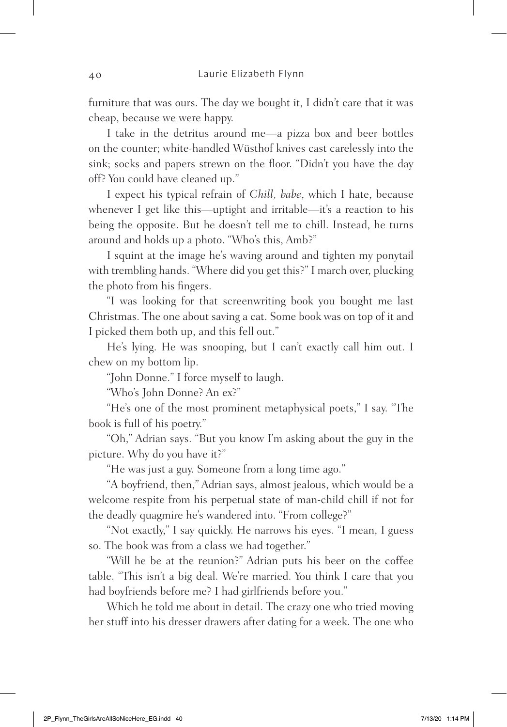furniture that was ours. The day we bought it, I didn't care that it was cheap, because we were happy.

I take in the detritus around me—a pizza box and beer bottles on the counter; white-handled Wüsthof knives cast carelessly into the sink; socks and papers strewn on the floor. "Didn't you have the day off? You could have cleaned up."

I expect his typical refrain of *Chill, babe*, which I hate, because whenever I get like this—uptight and irritable—it's a reaction to his being the opposite. But he doesn't tell me to chill. Instead, he turns around and holds up a photo. "Who's this, Amb?"

I squint at the image he's waving around and tighten my ponytail with trembling hands. "Where did you get this?" I march over, plucking the photo from his fingers.

"I was looking for that screenwriting book you bought me last Christmas. The one about saving a cat. Some book was on top of it and I picked them both up, and this fell out."

He's lying. He was snooping, but I can't exactly call him out. I chew on my bottom lip.

"John Donne." I force myself to laugh.

"Who's John Donne? An ex?"

"He's one of the most prominent metaphysical poets," I say. "The book is full of his poetry."

"Oh," Adrian says. "But you know I'm asking about the guy in the picture. Why do you have it?"

"He was just a guy. Someone from a long time ago."

"A boyfriend, then," Adrian says, almost jealous, which would be a welcome respite from his perpetual state of man-child chill if not for the deadly quagmire he's wandered into. "From college?"

"Not exactly," I say quickly. He narrows his eyes. "I mean, I guess so. The book was from a class we had together."

"Will he be at the reunion?" Adrian puts his beer on the coffee table. "This isn't a big deal. We're married. You think I care that you had boyfriends before me? I had girlfriends before you."

Which he told me about in detail. The crazy one who tried moving her stuff into his dresser drawers after dating for a week. The one who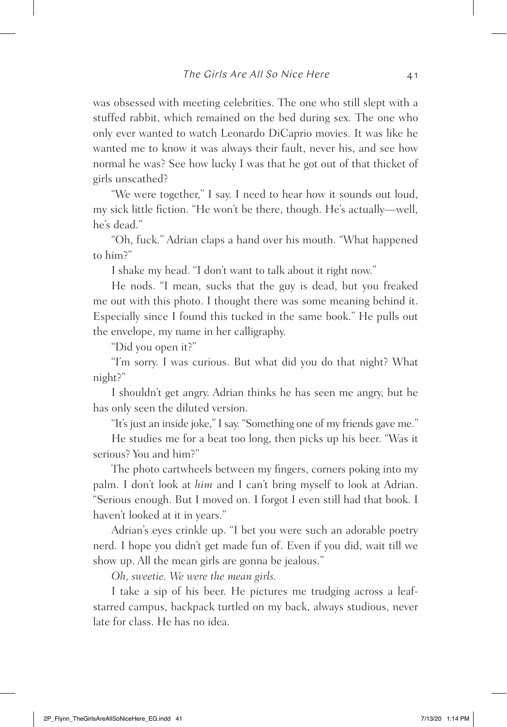was obsessed with meeting celebrities. The one who still slept with a stuffed rabbit, which remained on the bed during sex. The one who only ever wanted to watch Leonardo DiCaprio movies. It was like he wanted me to know it was always their fault, never his, and see how normal he was? See how lucky I was that he got out of that thicket of girls unscathed?

"We were together," I say. I need to hear how it sounds out loud, my sick little fiction. "He won't be there, though. He's actually—well, he's dead."

"Oh, fuck." Adrian claps a hand over his mouth. "What happened to him?"

I shake my head. "I don't want to talk about it right now."

He nods. "I mean, sucks that the guy is dead, but you freaked me out with this photo. I thought there was some meaning behind it. Especially since I found this tucked in the same book." He pulls out the envelope, my name in her calligraphy.

"Did you open it?"

"I'm sorry. I was curious. But what did you do that night? What night?"

I shouldn't get angry. Adrian thinks he has seen me angry, but he has only seen the diluted version.

"It's just an inside joke," I say. "Something one of my friends gave me."

He studies me for a beat too long, then picks up his beer. "Was it serious? You and him?"

The photo cartwheels between my fingers, corners poking into my palm. I don't look at *him* and I can't bring myself to look at Adrian. "Serious enough. But I moved on. I forgot I even still had that book. I haven't looked at it in years."

Adrian's eyes crinkle up. "I bet you were such an adorable poetry nerd. I hope you didn't get made fun of. Even if you did, wait till we show up. All the mean girls are gonna be jealous."

*Oh, sweetie. We were the mean girls.* 

I take a sip of his beer. He pictures me trudging across a leafstarred campus, backpack turtled on my back, always studious, never late for class. He has no idea.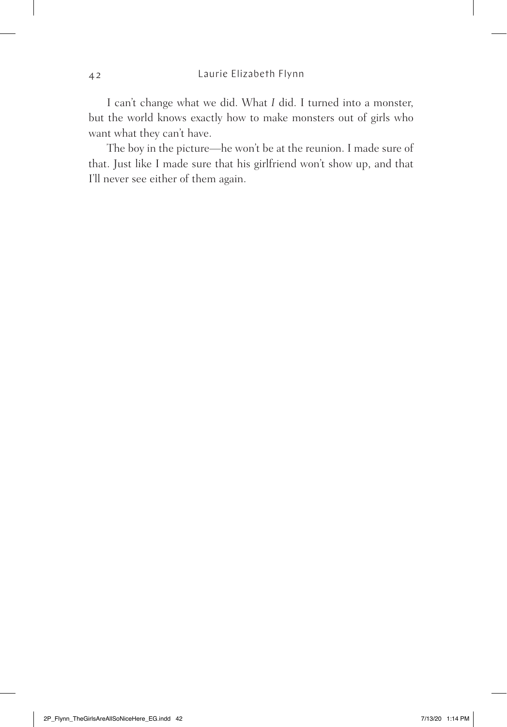I can't change what we did. What *I* did. I turned into a monster, but the world knows exactly how to make monsters out of girls who want what they can't have.

The boy in the picture—he won't be at the reunion. I made sure of that. Just like I made sure that his girlfriend won't show up, and that I'll never see either of them again.